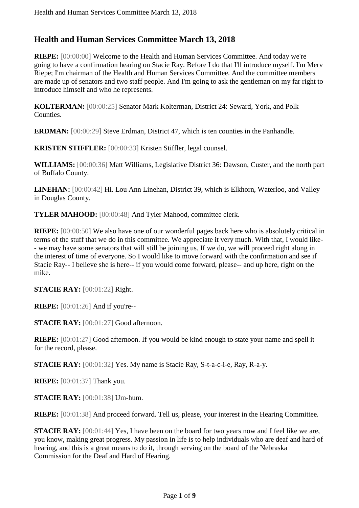## **Health and Human Services Committee March 13, 2018**

**RIEPE:** [00:00:00] Welcome to the Health and Human Services Committee. And today we're going to have a confirmation hearing on Stacie Ray. Before I do that I'll introduce myself. I'm Merv Riepe; I'm chairman of the Health and Human Services Committee. And the committee members are made up of senators and two staff people. And I'm going to ask the gentleman on my far right to introduce himself and who he represents.

**KOLTERMAN:** [00:00:25] Senator Mark Kolterman, District 24: Seward, York, and Polk Counties.

**ERDMAN:** [00:00:29] Steve Erdman, District 47, which is ten counties in the Panhandle.

**KRISTEN STIFFLER:** [00:00:33] Kristen Stiffler, legal counsel.

**WILLIAMS:** [00:00:36] Matt Williams, Legislative District 36: Dawson, Custer, and the north part of Buffalo County.

**LINEHAN:** [00:00:42] Hi. Lou Ann Linehan, District 39, which is Elkhorn, Waterloo, and Valley in Douglas County.

**TYLER MAHOOD:** [00:00:48] And Tyler Mahood, committee clerk.

**RIEPE:** [00:00:50] We also have one of our wonderful pages back here who is absolutely critical in terms of the stuff that we do in this committee. We appreciate it very much. With that, I would like- - we may have some senators that will still be joining us. If we do, we will proceed right along in the interest of time of everyone. So I would like to move forward with the confirmation and see if Stacie Ray-- I believe she is here-- if you would come forward, please-- and up here, right on the mike.

**STACIE RAY:** [00:01:22] Right.

**RIEPE:** [00:01:26] And if you're--

**STACIE RAY:** [00:01:27] Good afternoon.

**RIEPE:** [00:01:27] Good afternoon. If you would be kind enough to state your name and spell it for the record, please.

**STACIE RAY:** [00:01:32] Yes. My name is Stacie Ray, S-t-a-c-i-e, Ray, R-a-y.

**RIEPE:** [00:01:37] Thank you.

**STACIE RAY:** [00:01:38] Um-hum.

**RIEPE:** [00:01:38] And proceed forward. Tell us, please, your interest in the Hearing Committee.

**STACIE RAY:** [00:01:44] Yes, I have been on the board for two years now and I feel like we are, you know, making great progress. My passion in life is to help individuals who are deaf and hard of hearing, and this is a great means to do it, through serving on the board of the Nebraska Commission for the Deaf and Hard of Hearing.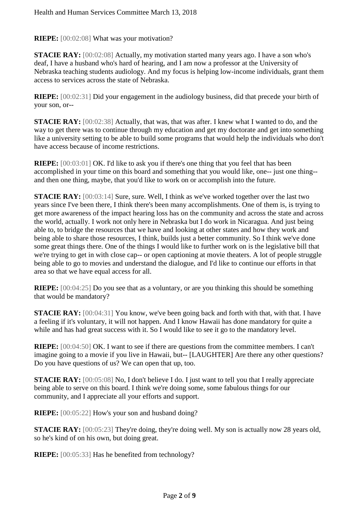**RIEPE:** [00:02:08] What was your motivation?

**STACIE RAY:** [00:02:08] Actually, my motivation started many years ago. I have a son who's deaf, I have a husband who's hard of hearing, and I am now a professor at the University of Nebraska teaching students audiology. And my focus is helping low-income individuals, grant them access to services across the state of Nebraska.

**RIEPE:** [00:02:31] Did your engagement in the audiology business, did that precede your birth of your son, or--

**STACIE RAY:** [00:02:38] Actually, that was, that was after. I knew what I wanted to do, and the way to get there was to continue through my education and get my doctorate and get into something like a university setting to be able to build some programs that would help the individuals who don't have access because of income restrictions.

**RIEPE:** [00:03:01] OK. I'd like to ask you if there's one thing that you feel that has been accomplished in your time on this board and something that you would like, one-- just one thing- and then one thing, maybe, that you'd like to work on or accomplish into the future.

**STACIE RAY:** [00:03:14] Sure, sure. Well, I think as we've worked together over the last two years since I've been there, I think there's been many accomplishments. One of them is, is trying to get more awareness of the impact hearing loss has on the community and across the state and across the world, actually. I work not only here in Nebraska but I do work in Nicaragua. And just being able to, to bridge the resources that we have and looking at other states and how they work and being able to share those resources, I think, builds just a better community. So I think we've done some great things there. One of the things I would like to further work on is the legislative bill that we're trying to get in with close cap-- or open captioning at movie theaters. A lot of people struggle being able to go to movies and understand the dialogue, and I'd like to continue our efforts in that area so that we have equal access for all.

**RIEPE:** [00:04:25] Do you see that as a voluntary, or are you thinking this should be something that would be mandatory?

**STACIE RAY:** [00:04:31] You know, we've been going back and forth with that, with that. I have a feeling if it's voluntary, it will not happen. And I know Hawaii has done mandatory for quite a while and has had great success with it. So I would like to see it go to the mandatory level.

**RIEPE:** [00:04:50] OK. I want to see if there are questions from the committee members. I can't imagine going to a movie if you live in Hawaii, but-- [LAUGHTER] Are there any other questions? Do you have questions of us? We can open that up, too.

**STACIE RAY:** [00:05:08] No, I don't believe I do. I just want to tell you that I really appreciate being able to serve on this board. I think we're doing some, some fabulous things for our community, and I appreciate all your efforts and support.

**RIEPE:** [00:05:22] How's your son and husband doing?

**STACIE RAY:** [00:05:23] They're doing, they're doing well. My son is actually now 28 years old, so he's kind of on his own, but doing great.

**RIEPE:** [00:05:33] Has he benefited from technology?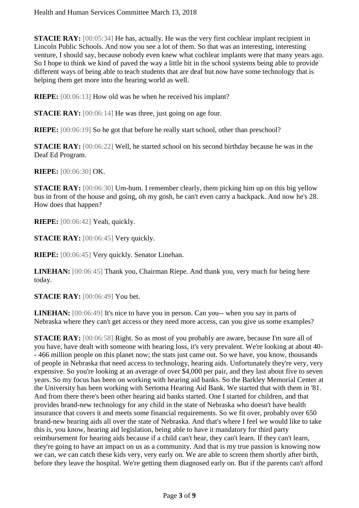**STACIE RAY:** [00:05:34] He has, actually. He was the very first cochlear implant recipient in Lincoln Public Schools. And now you see a lot of them. So that was an interesting, interesting venture, I should say, because nobody even knew what cochlear implants were that many years ago. So I hope to think we kind of paved the way a little bit in the school systems being able to provide different ways of being able to teach students that are deaf but now have some technology that is helping them get more into the hearing world as well.

**RIEPE:** [00:06:13] How old was he when he received his implant?

**STACIE RAY:** [00:06:14] He was three, just going on age four.

**RIEPE:** [00:06:19] So he got that before he really start school, other than preschool?

**STACIE RAY:** [00:06:22] Well, he started school on his second birthday because he was in the Deaf Ed Program.

**RIEPE:** [00:06:30] OK.

**STACIE RAY:** [00:06:30] Um-hum. I remember clearly, them picking him up on this big yellow bus in front of the house and going, oh my gosh, he can't even carry a backpack. And now he's 28. How does that happen?

**RIEPE:** [00:06:42] Yeah, quickly.

**STACIE RAY:** [00:06:45] Very quickly.

**RIEPE:** [00:06:45] Very quickly. Senator Linehan.

**LINEHAN:** [00:06:45] Thank you, Chairman Riepe. And thank you, very much for being here today.

**STACIE RAY:** [00:06:49] You bet.

**LINEHAN:** [00:06:49] It's nice to have you in person. Can you-- when you say in parts of Nebraska where they can't get access or they need more access, can you give us some examples?

**STACIE RAY:** [00:06:58] Right. So as most of you probably are aware, because I'm sure all of you have, have dealt with someone with hearing loss, it's very prevalent. We're looking at about 40- - 466 million people on this planet now; the stats just came out. So we have, you know, thousands of people in Nebraska that need access to technology, hearing aids. Unfortunately they're very, very expensive. So you're looking at an average of over \$4,000 per pair, and they last about five to seven years. So my focus has been on working with hearing aid banks. So the Barkley Memorial Center at the University has been working with Sertoma Hearing Aid Bank. We started that with them in '81. And from there there's been other hearing aid banks started. One I started for children, and that provides brand-new technology for any child in the state of Nebraska who doesn't have health insurance that covers it and meets some financial requirements. So we fit over, probably over 650 brand-new hearing aids all over the state of Nebraska. And that's where I feel we would like to take this is, you know, hearing aid legislation, being able to have it mandatory for third party reimbursement for hearing aids because if a child can't hear, they can't learn. If they can't learn, they're going to have an impact on us as a community. And that is my true passion is knowing now we can, we can catch these kids very, very early on. We are able to screen them shortly after birth, before they leave the hospital. We're getting them diagnosed early on. But if the parents can't afford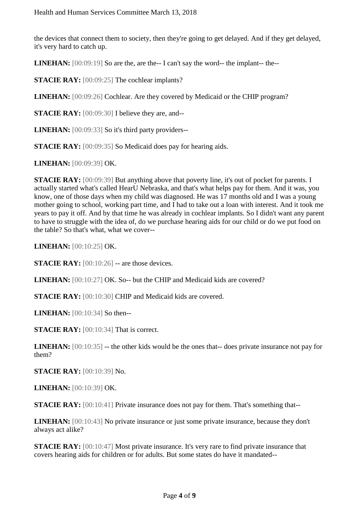the devices that connect them to society, then they're going to get delayed. And if they get delayed, it's very hard to catch up.

**LINEHAN:** [00:09:19] So are the, are the-- I can't say the word-- the implant-- the--

**STACIE RAY:** [00:09:25] The cochlear implants?

**LINEHAN:** [00:09:26] Cochlear. Are they covered by Medicaid or the CHIP program?

**STACIE RAY:** [00:09:30] I believe they are, and--

**LINEHAN:** [00:09:33] So it's third party providers--

**STACIE RAY:** [00:09:35] So Medicaid does pay for hearing aids.

**LINEHAN:** [00:09:39] OK.

**STACIE RAY:** [00:09:39] But anything above that poverty line, it's out of pocket for parents. I actually started what's called HearU Nebraska, and that's what helps pay for them. And it was, you know, one of those days when my child was diagnosed. He was 17 months old and I was a young mother going to school, working part time, and I had to take out a loan with interest. And it took me years to pay it off. And by that time he was already in cochlear implants. So I didn't want any parent to have to struggle with the idea of, do we purchase hearing aids for our child or do we put food on the table? So that's what, what we cover--

**LINEHAN:** [00:10:25] OK.

**STACIE RAY:** [00:10:26] -- are those devices.

**LINEHAN:** [00:10:27] OK. So-- but the CHIP and Medicaid kids are covered?

**STACIE RAY:** [00:10:30] CHIP and Medicaid kids are covered.

**LINEHAN:** [00:10:34] So then--

**STACIE RAY:** [00:10:34] That is correct.

**LINEHAN:** [00:10:35] -- the other kids would be the ones that-- does private insurance not pay for them?

**STACIE RAY:** [00:10:39] No.

**LINEHAN:** [00:10:39] OK.

**STACIE RAY:** [00:10:41] Private insurance does not pay for them. That's something that--

**LINEHAN:** [00:10:43] No private insurance or just some private insurance, because they don't always act alike?

**STACIE RAY:** [00:10:47] Most private insurance. It's very rare to find private insurance that covers hearing aids for children or for adults. But some states do have it mandated--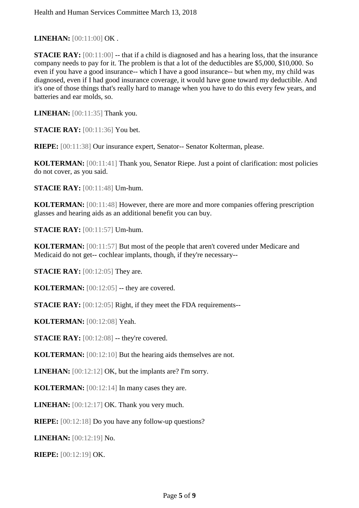**LINEHAN:** [00:11:00] OK .

**STACIE RAY:** [00:11:00] -- that if a child is diagnosed and has a hearing loss, that the insurance company needs to pay for it. The problem is that a lot of the deductibles are \$5,000, \$10,000. So even if you have a good insurance-- which I have a good insurance-- but when my, my child was diagnosed, even if I had good insurance coverage, it would have gone toward my deductible. And it's one of those things that's really hard to manage when you have to do this every few years, and batteries and ear molds, so.

**LINEHAN:** [00:11:35] Thank you.

**STACIE RAY:** [00:11:36] You bet.

**RIEPE:** [00:11:38] Our insurance expert, Senator-- Senator Kolterman, please.

**KOLTERMAN:** [00:11:41] Thank you, Senator Riepe. Just a point of clarification: most policies do not cover, as you said.

**STACIE RAY:** [00:11:48] Um-hum.

**KOLTERMAN:** [00:11:48] However, there are more and more companies offering prescription glasses and hearing aids as an additional benefit you can buy.

**STACIE RAY:** [00:11:57] Um-hum.

**KOLTERMAN:** [00:11:57] But most of the people that aren't covered under Medicare and Medicaid do not get-- cochlear implants, though, if they're necessary--

**STACIE RAY:** [00:12:05] They are.

**KOLTERMAN:** [00:12:05] -- they are covered.

**STACIE RAY:** [00:12:05] Right, if they meet the FDA requirements--

**KOLTERMAN:** [00:12:08] Yeah.

**STACIE RAY:** [00:12:08] -- they're covered.

**KOLTERMAN:** [00:12:10] But the hearing aids themselves are not.

**LINEHAN:** [00:12:12] OK, but the implants are? I'm sorry.

**KOLTERMAN:** [00:12:14] In many cases they are.

**LINEHAN:** [00:12:17] OK. Thank you very much.

**RIEPE:** [00:12:18] Do you have any follow-up questions?

**LINEHAN:** [00:12:19] No.

**RIEPE:** [00:12:19] OK.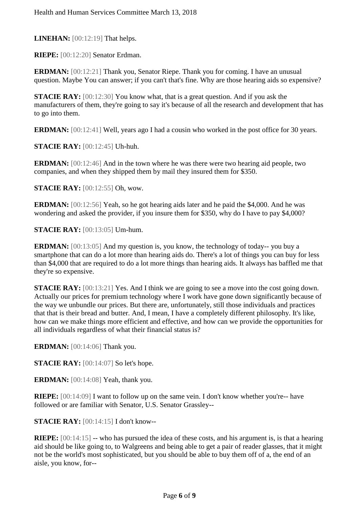**LINEHAN:** [00:12:19] That helps.

**RIEPE:** [00:12:20] Senator Erdman.

**ERDMAN:** [00:12:21] Thank you, Senator Riepe. Thank you for coming. I have an unusual question. Maybe You can answer; if you can't that's fine. Why are those hearing aids so expensive?

**STACIE RAY:** [00:12:30] You know what, that is a great question. And if you ask the manufacturers of them, they're going to say it's because of all the research and development that has to go into them.

**ERDMAN:** [00:12:41] Well, years ago I had a cousin who worked in the post office for 30 years.

**STACIE RAY:** [00:12:45] Uh-huh.

**ERDMAN:** [00:12:46] And in the town where he was there were two hearing aid people, two companies, and when they shipped them by mail they insured them for \$350.

**STACIE RAY:** [00:12:55] Oh, wow.

**ERDMAN:** [00:12:56] Yeah, so he got hearing aids later and he paid the \$4,000. And he was wondering and asked the provider, if you insure them for \$350, why do I have to pay \$4,000?

**STACIE RAY:** [00:13:05] Um-hum.

**ERDMAN:** [00:13:05] And my question is, you know, the technology of today-- you buy a smartphone that can do a lot more than hearing aids do. There's a lot of things you can buy for less than \$4,000 that are required to do a lot more things than hearing aids. It always has baffled me that they're so expensive.

**STACIE RAY:** [00:13:21] Yes. And I think we are going to see a move into the cost going down. Actually our prices for premium technology where I work have gone down significantly because of the way we unbundle our prices. But there are, unfortunately, still those individuals and practices that that is their bread and butter. And, I mean, I have a completely different philosophy. It's like, how can we make things more efficient and effective, and how can we provide the opportunities for all individuals regardless of what their financial status is?

**ERDMAN:** [00:14:06] Thank you.

**STACIE RAY:** [00:14:07] So let's hope.

**ERDMAN:** [00:14:08] Yeah, thank you.

**RIEPE:** [00:14:09] I want to follow up on the same vein. I don't know whether you're-- have followed or are familiar with Senator, U.S. Senator Grassley--

**STACIE RAY:** [00:14:15] I don't know--

**RIEPE:** [00:14:15] -- who has pursued the idea of these costs, and his argument is, is that a hearing aid should be like going to, to Walgreens and being able to get a pair of reader glasses, that it might not be the world's most sophisticated, but you should be able to buy them off of a, the end of an aisle, you know, for--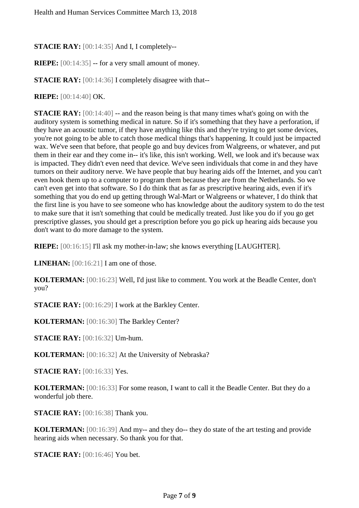**STACIE RAY:** [00:14:35] And I, I completely--

**RIEPE:** [00:14:35] -- for a very small amount of money.

**STACIE RAY:** [00:14:36] I completely disagree with that--

**RIEPE:** [00:14:40] OK.

**STACIE RAY:**  $[00:14:40]$  -- and the reason being is that many times what's going on with the auditory system is something medical in nature. So if it's something that they have a perforation, if they have an acoustic tumor, if they have anything like this and they're trying to get some devices, you're not going to be able to catch those medical things that's happening. It could just be impacted wax. We've seen that before, that people go and buy devices from Walgreens, or whatever, and put them in their ear and they come in-- it's like, this isn't working. Well, we look and it's because wax is impacted. They didn't even need that device. We've seen individuals that come in and they have tumors on their auditory nerve. We have people that buy hearing aids off the Internet, and you can't even hook them up to a computer to program them because they are from the Netherlands. So we can't even get into that software. So I do think that as far as prescriptive hearing aids, even if it's something that you do end up getting through Wal-Mart or Walgreens or whatever, I do think that the first line is you have to see someone who has knowledge about the auditory system to do the test to make sure that it isn't something that could be medically treated. Just like you do if you go get prescriptive glasses, you should get a prescription before you go pick up hearing aids because you don't want to do more damage to the system.

**RIEPE:** [00:16:15] I'll ask my mother-in-law; she knows everything [LAUGHTER].

**LINEHAN:** [00:16:21] I am one of those.

**KOLTERMAN:** [00:16:23] Well, I'd just like to comment. You work at the Beadle Center, don't you?

**STACIE RAY:** [00:16:29] I work at the Barkley Center.

**KOLTERMAN:** [00:16:30] The Barkley Center?

**STACIE RAY:** [00:16:32] Um-hum.

**KOLTERMAN:** [00:16:32] At the University of Nebraska?

**STACIE RAY:** [00:16:33] Yes.

**KOLTERMAN:** [00:16:33] For some reason, I want to call it the Beadle Center. But they do a wonderful job there.

**STACIE RAY:** [00:16:38] Thank you.

**KOLTERMAN:** [00:16:39] And my-- and they do-- they do state of the art testing and provide hearing aids when necessary. So thank you for that.

**STACIE RAY:** [00:16:46] You bet.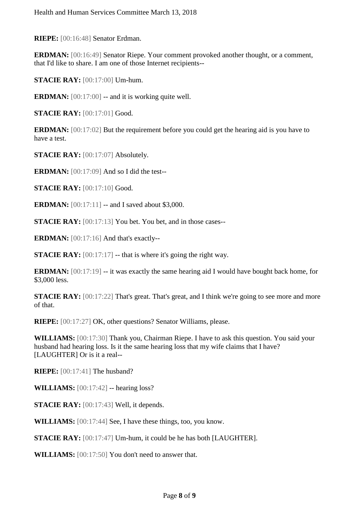**RIEPE:** [00:16:48] Senator Erdman.

**ERDMAN:** [00:16:49] Senator Riepe. Your comment provoked another thought, or a comment, that I'd like to share. I am one of those Internet recipients--

**STACIE RAY:** [00:17:00] Um-hum.

**ERDMAN:**  $[00:17:00]$  -- and it is working quite well.

**STACIE RAY:** [00:17:01] Good.

**ERDMAN:** [00:17:02] But the requirement before you could get the hearing aid is you have to have a test.

**STACIE RAY:** [00:17:07] Absolutely.

**ERDMAN:** [00:17:09] And so I did the test--

**STACIE RAY:** [00:17:10] Good.

**ERDMAN:** [00:17:11] -- and I saved about \$3,000.

**STACIE RAY:** [00:17:13] You bet. You bet, and in those cases--

**ERDMAN:** [00:17:16] And that's exactly--

**STACIE RAY:** [00:17:17] -- that is where it's going the right way.

**ERDMAN:** [00:17:19] -- it was exactly the same hearing aid I would have bought back home, for \$3,000 less.

**STACIE RAY:** [00:17:22] That's great. That's great, and I think we're going to see more and more of that.

**RIEPE:** [00:17:27] OK, other questions? Senator Williams, please.

**WILLIAMS:** [00:17:30] Thank you, Chairman Riepe. I have to ask this question. You said your husband had hearing loss. Is it the same hearing loss that my wife claims that I have? [LAUGHTER] Or is it a real--

**RIEPE:** [00:17:41] The husband?

**WILLIAMS:** [00:17:42] -- hearing loss?

**STACIE RAY:** [00:17:43] Well, it depends.

**WILLIAMS:** [00:17:44] See, I have these things, too, you know.

**STACIE RAY:** [00:17:47] Um-hum, it could be he has both [LAUGHTER].

**WILLIAMS:** [00:17:50] You don't need to answer that.